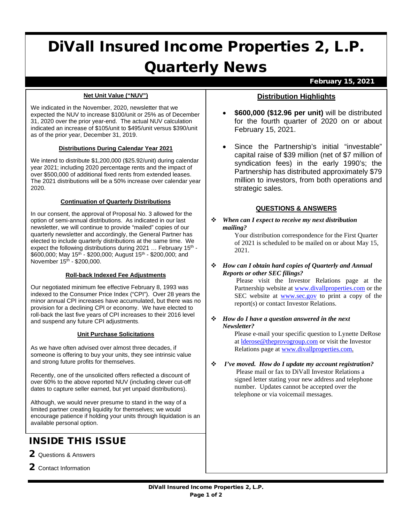# DiVall Insured Income Properties 2, L.P. Quarterly News

#### February 15, 2021

#### **Net Unit Value ("NUV")**

We indicated in the November, 2020, newsletter that we expected the NUV to increase \$100/unit or 25% as of December 31, 2020 over the prior year-end. The actual NUV calculation indicated an increase of \$105/unit to \$495/unit versus \$390/unit as of the prior year, December 31, 2019.

#### **Distributions During Calendar Year 2021**

We intend to distribute \$1,200,000 (\$25.92/unit) during calendar year 2021; including 2020 percentage rents and the impact of over \$500,000 of additional fixed rents from extended leases. The 2021 distributions will be a 50% increase over calendar year 2020.

#### **Continuation of Quarterly Distributions**

In our consent, the approval of Proposal No. 3 allowed for the option of semi-annual distributions. As indicated in our last newsletter, we will continue to provide "mailed" copies of our quarterly newsletter and accordingly, the General Partner has elected to include quarterly distributions at the same time. We expect the following distributions during 2021 ... February 15<sup>th</sup> -\$600,000; May 15<sup>th</sup> - \$200,000; August 15<sup>th</sup> - \$200,000; and November  $15^{th}$  - \$200,000.

### **Roll-back Indexed Fee Adjustments**

Our negotiated minimum fee effective February 8, 1993 was indexed to the Consumer Price Index ("CPI"). Over 28 years the minor annual CPI increases have accumulated, but there was no provision for a declining CPI or economy. We have elected to roll-back the last five years of CPI increases to their 2016 level and suspend any future CPI adjustments.

### **Unit Purchase Solicitations**

As we have often advised over almost three decades, if someone is offering to buy your units, they see intrinsic value and strong future profits for themselves.

Recently, one of the unsolicited offers reflected a discount of over 60% to the above reported NUV (including clever cut-off dates to capture seller earned, but yet unpaid distributions).

Although, we would never presume to stand in the way of a limited partner creating liquidity for themselves; we would encourage patience if holding your units through liquidation is an available personal option.

# INSIDE THIS ISSUE

- 2 Questions & Answers
- 2 Contact Information

# **Distribution Highlights**

- **\$600,000 (\$12.96 per unit)** will be distributed for the fourth quarter of 2020 on or about February 15, 2021.
- Since the Partnership's initial "investable" capital raise of \$39 million (net of \$7 million of syndication fees) in the early 1990's; the Partnership has distributed approximately \$79 million to investors, from both operations and strategic sales.

# **QUESTIONS & ANSWERS**

 *When can I expect to receive my next distribution mailing?*

Your distribution correspondence for the First Quarter of 2021 is scheduled to be mailed on or about May 15, 2021.

 *How can I obtain hard copies of Quarterly and Annual Reports or other SEC filings?*

Please visit the Investor Relations page at the Partnership website a[t www.divallproperties.com](http://www.divallproperties.com/) or the SEC website at [www.sec.gov](http://www.sec.gov/) to print a copy of the report(s) or contact Investor Relations.

 *How do I have a question answered in the next Newsletter?* 

> Please e-mail your specific question to Lynette DeRose at [lderose@theprovogroup.com](mailto:lderose@theprovogroup.com) or visit the Investor Relations page at [www.divallproperties.com.](http://www.divallproperties.com/)

 *I've moved. How do I update my account registration?* Please mail or fax to DiVall Investor Relations a signed letter stating your new address and telephone number. Updates cannot be accepted over the telephone or via voicemail messages.